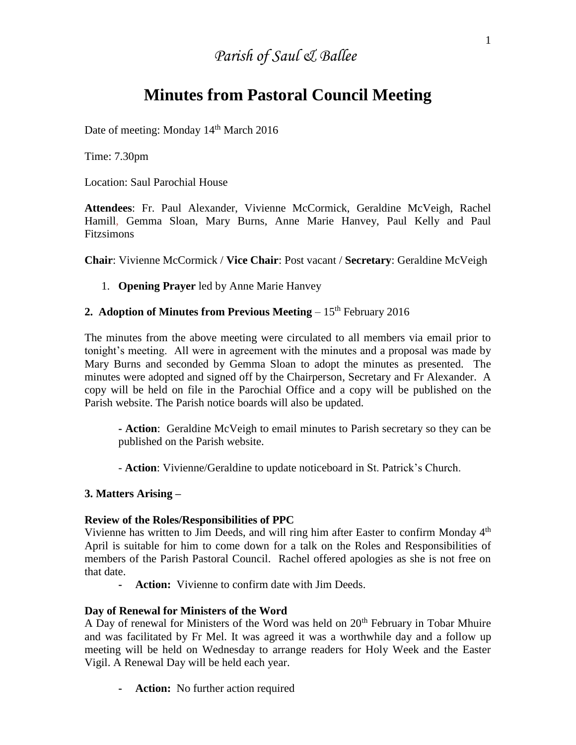# *Parish of Saul & Ballee*

## **Minutes from Pastoral Council Meeting**

Date of meeting: Monday 14<sup>th</sup> March 2016

Time: 7.30pm

Location: Saul Parochial House

**Attendees**: Fr. Paul Alexander, Vivienne McCormick, Geraldine McVeigh, Rachel Hamill, Gemma Sloan, Mary Burns, Anne Marie Hanvey, Paul Kelly and Paul Fitzsimons

**Chair**: Vivienne McCormick / **Vice Chair**: Post vacant / **Secretary**: Geraldine McVeigh

#### 1. **Opening Prayer** led by Anne Marie Hanvey

### **2. Adoption of Minutes from Previous Meeting**  $-15<sup>th</sup>$  February 2016

The minutes from the above meeting were circulated to all members via email prior to tonight's meeting. All were in agreement with the minutes and a proposal was made by Mary Burns and seconded by Gemma Sloan to adopt the minutes as presented. The minutes were adopted and signed off by the Chairperson, Secretary and Fr Alexander. A copy will be held on file in the Parochial Office and a copy will be published on the Parish website. The Parish notice boards will also be updated.

**- Action**: Geraldine McVeigh to email minutes to Parish secretary so they can be published on the Parish website.

- **Action**: Vivienne/Geraldine to update noticeboard in St. Patrick's Church.

#### **3. Matters Arising –**

#### **Review of the Roles/Responsibilities of PPC**

Vivienne has written to Jim Deeds, and will ring him after Easter to confirm Monday  $4<sup>th</sup>$ April is suitable for him to come down for a talk on the Roles and Responsibilities of members of the Parish Pastoral Council. Rachel offered apologies as she is not free on that date.

**- Action:** Vivienne to confirm date with Jim Deeds.

### **Day of Renewal for Ministers of the Word**

A Day of renewal for Ministers of the Word was held on 20<sup>th</sup> February in Tobar Mhuire and was facilitated by Fr Mel. It was agreed it was a worthwhile day and a follow up meeting will be held on Wednesday to arrange readers for Holy Week and the Easter Vigil. A Renewal Day will be held each year.

**- Action:** No further action required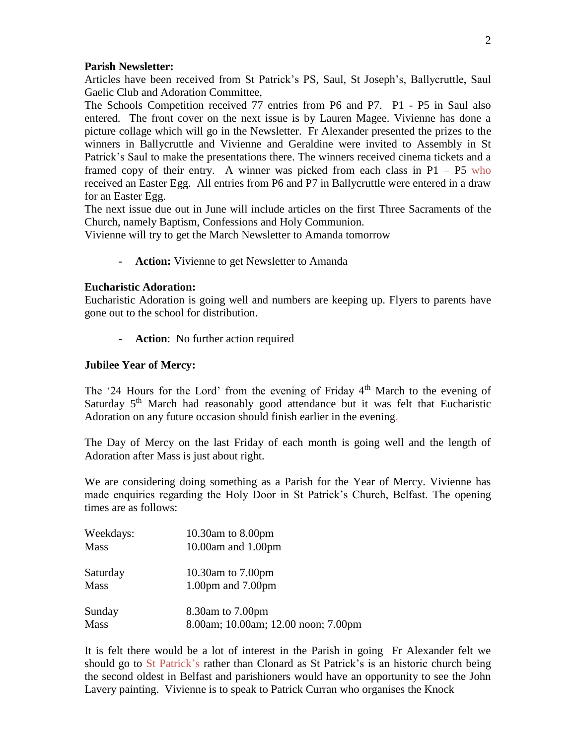#### **Parish Newsletter:**

Articles have been received from St Patrick's PS, Saul, St Joseph's, Ballycruttle, Saul Gaelic Club and Adoration Committee,

The Schools Competition received 77 entries from P6 and P7. P1 - P5 in Saul also entered. The front cover on the next issue is by Lauren Magee. Vivienne has done a picture collage which will go in the Newsletter. Fr Alexander presented the prizes to the winners in Ballycruttle and Vivienne and Geraldine were invited to Assembly in St Patrick's Saul to make the presentations there. The winners received cinema tickets and a framed copy of their entry. A winner was picked from each class in  $P1 - P5$  who received an Easter Egg. All entries from P6 and P7 in Ballycruttle were entered in a draw for an Easter Egg.

The next issue due out in June will include articles on the first Three Sacraments of the Church, namely Baptism, Confessions and Holy Communion.

Vivienne will try to get the March Newsletter to Amanda tomorrow

**- Action:** Vivienne to get Newsletter to Amanda

### **Eucharistic Adoration:**

Eucharistic Adoration is going well and numbers are keeping up. Flyers to parents have gone out to the school for distribution.

**- Action**: No further action required

### **Jubilee Year of Mercy:**

The '24 Hours for the Lord' from the evening of Friday  $4<sup>th</sup>$  March to the evening of Saturday  $5<sup>th</sup>$  March had reasonably good attendance but it was felt that Eucharistic Adoration on any future occasion should finish earlier in the evening.

The Day of Mercy on the last Friday of each month is going well and the length of Adoration after Mass is just about right.

We are considering doing something as a Parish for the Year of Mercy. Vivienne has made enquiries regarding the Holy Door in St Patrick's Church, Belfast. The opening times are as follows:

| Weekdays: | 10.30am to $8.00 \text{pm}$         |
|-----------|-------------------------------------|
| Mass      | $10.00$ am and $1.00$ pm            |
| Saturday  | 10.30am to 7.00pm                   |
| Mass      | 1.00pm and 7.00pm                   |
| Sunday    | 8.30am to 7.00pm                    |
| Mass      | 8.00am; 10.00am; 12.00 noon; 7.00pm |

It is felt there would be a lot of interest in the Parish in going Fr Alexander felt we should go to St Patrick's rather than Clonard as St Patrick's is an historic church being the second oldest in Belfast and parishioners would have an opportunity to see the John Lavery painting. Vivienne is to speak to Patrick Curran who organises the Knock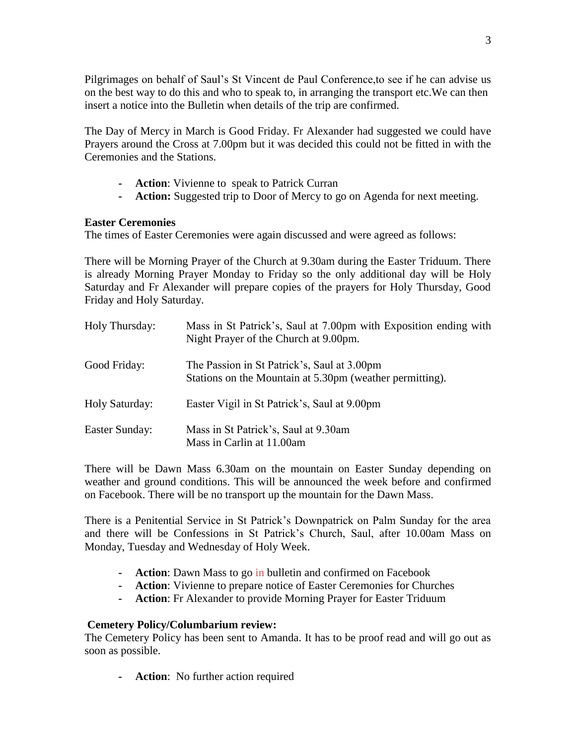Pilgrimages on behalf of Saul's St Vincent de Paul Conference,to see if he can advise us on the best way to do this and who to speak to, in arranging the transport etc.We can then insert a notice into the Bulletin when details of the trip are confirmed.

The Day of Mercy in March is Good Friday. Fr Alexander had suggested we could have Prayers around the Cross at 7.00pm but it was decided this could not be fitted in with the Ceremonies and the Stations.

- **- Action**: Vivienne to speak to Patrick Curran
- **- Action:** Suggested trip to Door of Mercy to go on Agenda for next meeting.

#### **Easter Ceremonies**

The times of Easter Ceremonies were again discussed and were agreed as follows:

There will be Morning Prayer of the Church at 9.30am during the Easter Triduum. There is already Morning Prayer Monday to Friday so the only additional day will be Holy Saturday and Fr Alexander will prepare copies of the prayers for Holy Thursday, Good Friday and Holy Saturday.

| Holy Thursday: | Mass in St Patrick's, Saul at 7.00pm with Exposition ending with<br>Night Prayer of the Church at 9.00pm. |
|----------------|-----------------------------------------------------------------------------------------------------------|
| Good Friday:   | The Passion in St Patrick's, Saul at 3.00pm<br>Stations on the Mountain at 5.30pm (weather permitting).   |
| Holy Saturday: | Easter Vigil in St Patrick's, Saul at 9.00pm                                                              |
| Easter Sunday: | Mass in St Patrick's, Saul at 9.30am<br>Mass in Carlin at 11.00am                                         |

There will be Dawn Mass 6.30am on the mountain on Easter Sunday depending on weather and ground conditions. This will be announced the week before and confirmed on Facebook. There will be no transport up the mountain for the Dawn Mass.

There is a Penitential Service in St Patrick's Downpatrick on Palm Sunday for the area and there will be Confessions in St Patrick's Church, Saul, after 10.00am Mass on Monday, Tuesday and Wednesday of Holy Week.

- **- Action**: Dawn Mass to go in bulletin and confirmed on Facebook
- **- Action**: Vivienne to prepare notice of Easter Ceremonies for Churches
- **- Action**: Fr Alexander to provide Morning Prayer for Easter Triduum

#### **Cemetery Policy/Columbarium review:**

The Cemetery Policy has been sent to Amanda. It has to be proof read and will go out as soon as possible.

**- Action**: No further action required